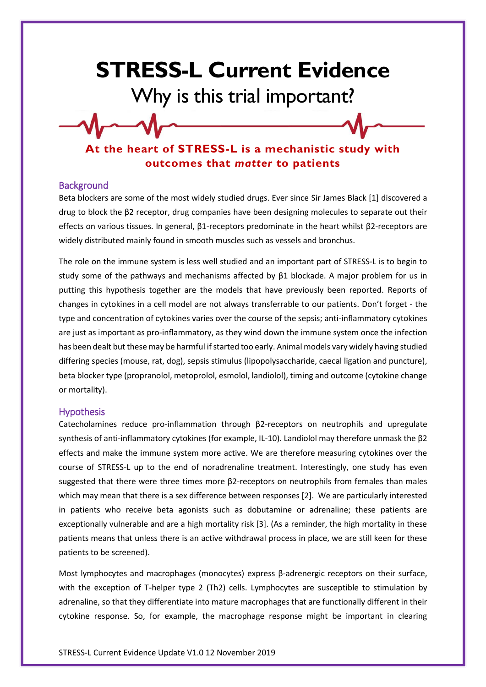## **STRESS-L Current Evidence** Why is this trial important?

**At the heart of STRESS-L is a mechanistic study with outcomes that** *matter* **to patients**

## **Background**

Beta blockers are some of the most widely studied drugs. Ever since Sir James Black [1] discovered a drug to block the β2 receptor, drug companies have been designing molecules to separate out their effects on various tissues. In general, β1-receptors predominate in the heart whilst β2-receptors are widely distributed mainly found in smooth muscles such as vessels and bronchus.

The role on the immune system is less well studied and an important part of STRESS-L is to begin to study some of the pathways and mechanisms affected by β1 blockade. A major problem for us in putting this hypothesis together are the models that have previously been reported. Reports of changes in cytokines in a cell model are not always transferrable to our patients. Don't forget - the type and concentration of cytokines varies over the course of the sepsis; anti-inflammatory cytokines are just as important as pro-inflammatory, as they wind down the immune system once the infection has been dealt but these may be harmful if started too early. Animal models vary widely having studied differing species (mouse, rat, dog), sepsis stimulus (lipopolysaccharide, caecal ligation and puncture), beta blocker type (propranolol, metoprolol, esmolol, landiolol), timing and outcome (cytokine change or mortality).

## Hypothesis

Catecholamines reduce pro-inflammation through β2-receptors on neutrophils and upregulate synthesis of anti-inflammatory cytokines (for example, IL-10). Landiolol may therefore unmask the β2 effects and make the immune system more active. We are therefore measuring cytokines over the course of STRESS-L up to the end of noradrenaline treatment. Interestingly, one study has even suggested that there were three times more β2-receptors on neutrophils from females than males which may mean that there is a sex difference between responses [2]. We are particularly interested in patients who receive beta agonists such as dobutamine or adrenaline; these patients are exceptionally vulnerable and are a high mortality risk [3]. (As a reminder, the high mortality in these patients means that unless there is an active withdrawal process in place, we are still keen for these patients to be screened).

Most lymphocytes and macrophages (monocytes) express β-adrenergic receptors on their surface, with the exception of T-helper type 2 (Th2) cells. Lymphocytes are susceptible to stimulation by adrenaline, so that they differentiate into mature macrophages that are functionally different in their cytokine response. So, for example, the macrophage response might be important in clearing